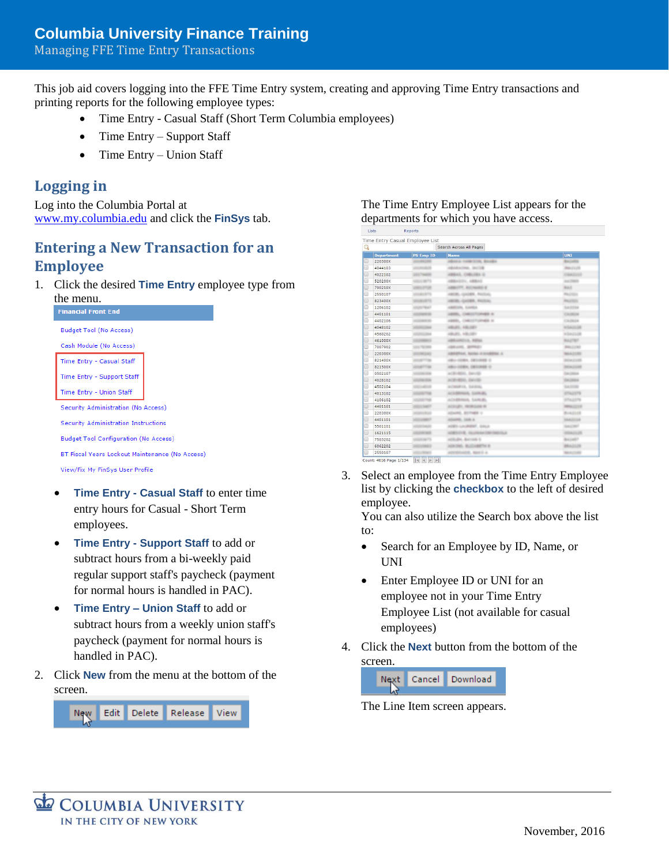#### Managing FFE Time Entry Transactions

This job aid covers logging into the FFE Time Entry system, creating and approving Time Entry transactions and printing reports for the following employee types:

- Time Entry Casual Staff (Short Term Columbia employees)
- Time Entry Support Staff
- Time Entry Union Staff

### **Logging in**

Log into the Columbia Portal at [www.my.columbia.edu](http://www.my.columbia.edu/) and click the **FinSys** tab.

### **Entering a New Transaction for an Employee**

1. Click the desired **Time Entry** employee type from



- **Time Entry - Casual Staff** to enter time entry hours for Casual - Short Term employees.
- **Time Entry - Support Staff** to add or subtract hours from a bi-weekly paid regular support staff's paycheck (payment for normal hours is handled in PAC).
- **Time Entry – Union Staff** to add or subtract hours from a weekly union staff's paycheck (payment for normal hours is handled in PAC).
- 2. Click **New** from the menu at the bottom of the screen.



#### The Time Entry Employee List appears for the departments for which you have access.

| Q                  |                               | Search Across All Pages          |                         |  |  |  |  |
|--------------------|-------------------------------|----------------------------------|-------------------------|--|--|--|--|
| <b>Department</b>  | <b>PS Emp ID</b>              | <b>Name</b>                      | <b>UNI</b>              |  |  |  |  |
| o<br>220300X       |                               | ABAKA TANKSUN, BAABA             | <b>BAJARA</b>           |  |  |  |  |
| $\Box$<br>4044103  | <b>ATTACHMENT</b>             | ASSAULTERS, SACTOR               | <b>Reached</b>          |  |  |  |  |
| $\Box$<br>4022102  | <b><i>STATISTICS</i></b>      | ABBAS, CHRUSEL G.                | CRAZILER                |  |  |  |  |
| $\odot$<br>520200X | <b><i>USED LIBERTS</i></b>    | 40044074, 40045                  | ALC THEFT               |  |  |  |  |
| o<br>790210X       | LINES STOR                    | ABBUYY, BUCHARD &                | Back.                   |  |  |  |  |
| $\Box$<br>2550107  | <b>ATLANTA</b>                | ASSISTANTI ADAGENTI - FALITA ALL | <b>Routing</b>          |  |  |  |  |
| $\Box$<br>823400X  | <b>UTLIFUETS</b>              | AMERICA CALLERY, PAULONAL        | PAZINES                 |  |  |  |  |
| $\odot$<br>1206102 | <b><i>SEARCHEAD</i></b>       | AMERICANS, SLAVINGA              | SATING                  |  |  |  |  |
| $\Box$<br>4401101  | LOCALITY 10                   | ABERL, CHRISTOPHER III           | CAUSEA                  |  |  |  |  |
| $\odot$<br>4402106 | <b><i>GEORGE SI</i></b>       | ABER, CHRISTOPHER &              | CAZEDA                  |  |  |  |  |
| $\Box$<br>4048102  | <b><i>CONTRACTOR</i></b>      | AMAZEL, ASKATEV                  | <b>KSAZLIB</b>          |  |  |  |  |
| $\Box$<br>4560202  | <b><i>USED AT A SHEEP</i></b> | 490495, 490,081                  | <b>KSAZLIB</b>          |  |  |  |  |
| o<br>461000X       | <b>LOCARITY</b>               | ABRAHEDUA, KONA                  | <b>BAZTET</b>           |  |  |  |  |
| $\Box$<br>7007902  | ATL: 78, 200                  | AMERICANS, MOTORSTA              | <b>Broker Corporate</b> |  |  |  |  |
| o<br>220300X       | <b>URLINGING</b>              | AMARENA, NANA-KILIMERA A.        | <b>MAX21RD</b>          |  |  |  |  |
| $\Box$<br>821400X  | <b><i>SELECTION</i></b>       | ABU CORA, DELINER O              | DOM JUNE                |  |  |  |  |
| $\Box$<br>821500X  | <b>STARTING</b>               | ABU CORA, DESIREE O              | DOADSES                 |  |  |  |  |
| $\odot$<br>0502107 | <b><i>STORY STORY</i></b>     | ACROSSILL DAVIS                  | DATABLE                 |  |  |  |  |
| o<br>4028102       | <b><i>DESTREME</i></b>        | ACROSSING, DAVISE                | DATABASE                |  |  |  |  |
| $\Box$<br>4502104  | <b><i>SEED ARTIST</i></b>     | ACHERVA, SAVING                  | <b>SATIS</b>            |  |  |  |  |
| $\Box$<br>4013102  | <b>LAUNA TAB</b>              | ACADEMIA SANUEL                  | STAZEN                  |  |  |  |  |
| $\odot$<br>4106102 | <b><i>SELECTED</i></b>        | ACEDEMIC SAVES.                  | <b>STAZZIN</b>          |  |  |  |  |
| $\Box$<br>4401101  | <b>DESCRIPTION</b>            | ACRUPT, INDIVIDUAL IN            | <b>HERLIGHT</b>         |  |  |  |  |
| $\Box$<br>220300X  | <b>CELL</b>                   | ADAMS, BUTHER V.                 | <b>BUAZINE</b>          |  |  |  |  |
| o<br>4401101       | <b>MAY</b>                    | ADAMS, SAN A.                    | 1662114                 |  |  |  |  |
| $\Box$<br>5501101  | <b>MOTO</b>                   | ADES-LAURENT, GALA               | GAZINE?                 |  |  |  |  |
| o<br>1621115       | <b>LOCATION</b>               | ADESOVE, DUANAKONVINSOLA         | 10042125                |  |  |  |  |
| $\Box$<br>7503202  | <b>USED BETS</b>              | ACRUZIA, BAYARE S.               | BAJNET                  |  |  |  |  |
| o<br>6062202       | m                             | ADMIRAL BLUEWERTH &              | <b>BRAZILIB</b>         |  |  |  |  |
| ⋒<br>2550107       | <b>STATISTICS</b>             | ADVISORER, NAVO &                | <b>BAATIME</b>          |  |  |  |  |

3. Select an employee from the Time Entry Employee list by clicking the **checkbox** to the left of desired employee.

You can also utilize the Search box above the list to:

- Search for an Employee by ID, Name, or UNI
- Enter Employee ID or UNI for an employee not in your Time Entry Employee List (not available for casual employees)
- 4. Click the **Next** button from the bottom of the screen.



The Line Item screen appears.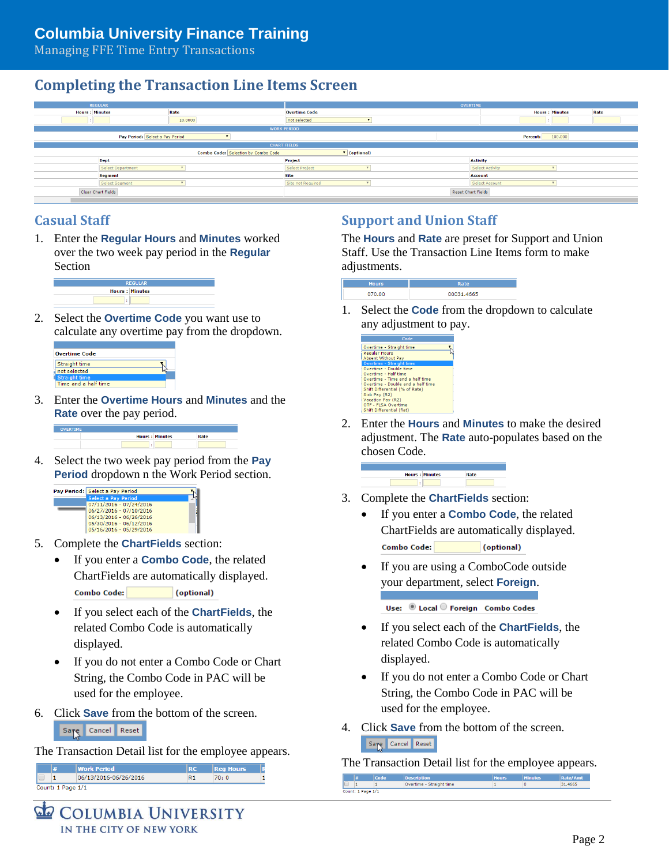Managing FFE Time Entry Transactions

# **Completing the Transaction Line Items Screen**



### **Casual Staff**

1. Enter the **Regular Hours** and **Minutes** worked over the two week pay period in the **Regular** Section



2. Select the **Overtime Code** you want use to calculate any overtime pay from the dropdown.



3. Enter the **Overtime Hours** and **Minutes** and the **Rate** over the pay period.



4. Select the two week pay period from the **Pay Period** dropdown n the Work Period section.



- 5. Complete the **ChartFields** section:
	- If you enter a **Combo Code**, the related ChartFields are automatically displayed. **Combo Code:** (optional)
	- If you select each of the **ChartFields**, the related Combo Code is automatically displayed.
	- If you do not enter a Combo Code or Chart String, the Combo Code in PAC will be used for the employee.
- 6. Click **Save** from the bottom of the screen.

Save Cancel Reset

The Transaction Detail list for the employee appears.

|                   | <b>Work Period</b>    |    | <b>Reg Hours</b> |  |
|-------------------|-----------------------|----|------------------|--|
|                   | 06/13/2016-06/26/2016 | R1 | 70: 0            |  |
| Count: 1 Page 1/1 |                       |    |                  |  |

### **Support and Union Staff**

The **Hours** and **Rate** are preset for Support and Union Staff. Use the Transaction Line Items form to make adjustments.



1. Select the **Code** from the dropdown to calculate any adjustment to pay.



2. Enter the **Hours** and **Minutes** to make the desired adjustment. The **Rate** auto-populates based on the chosen Code.



- 3. Complete the **ChartFields** section:
	- If you enter a **Combo Code**, the related ChartFields are automatically displayed. Combo Code: (optional)
	- If you are using a ComboCode outside your department, select **Foreign**.

Use: © Local O Foreign Combo Codes

- If you select each of the **ChartFields**, the related Combo Code is automatically displayed.
- If you do not enter a Combo Code or Chart String, the Combo Code in PAC will be used for the employee.
- 4. Click **Save** from the bottom of the screen. Saye Cancel Reset

The Transaction Detail list for the employee appears.

|             |  | <b>Description</b>       | <b>Hours</b> | <b>Minutes</b> | <b>Rate/Amt</b> |
|-------------|--|--------------------------|--------------|----------------|-----------------|
| -<br>$\sim$ |  | Overtime - Straight time |              |                | 31,4665         |

COLUMBIA UNIVERSITY IN THE CITY OF NEW YORK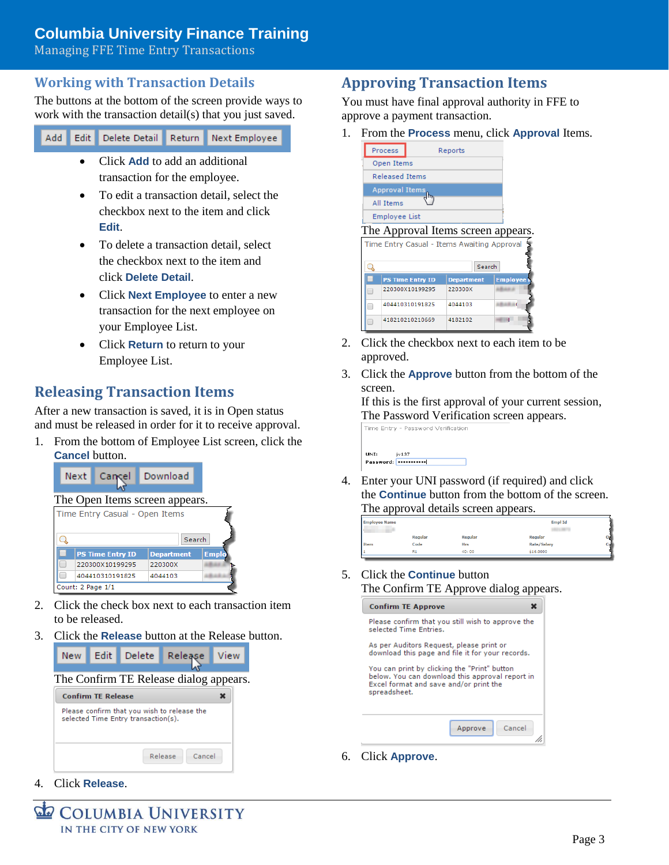# **Columbia University Finance Training**

Managing FFE Time Entry Transactions

### **Working with Transaction Details**

The buttons at the bottom of the screen provide ways to work with the transaction detail(s) that you just saved.

Delete Detail Return Next Employee Add Edit

- Click **Add** to add an additional transaction for the employee.
- To edit a transaction detail, select the checkbox next to the item and click **Edit**.
- To delete a transaction detail, select the checkbox next to the item and click **Delete Detail**.
- Click **Next Employee** to enter a new transaction for the next employee on your Employee List.
- Click **Return** to return to your Employee List.

## **Releasing Transaction Items**

After a new transaction is saved, it is in Open status and must be released in order for it to receive approval.

1. From the bottom of Employee List screen, click the **Cancel** button.



- 2. Click the check box next to each transaction item to be released.
- 3. Click the **Release** button at the Release button.



## **Approving Transaction Items**

You must have final approval authority in FFE to approve a payment transaction.

1. From the **Process** menu, click **Approval** Items.



- 2. Click the checkbox next to each item to be approved.
- 3. Click the **Approve** button from the bottom of the screen.

If this is the first approval of your current session, The Password Verification screen appears.

Time Entry - Password Verification



4. Enter your UNI password (if required) and click the **Continue** button from the bottom of the screen. The approval details screen appears.

| <b>Employee Name</b> |         |            | <b>Empl Id</b> |  |
|----------------------|---------|------------|----------------|--|
|                      | Regular | Regular    | Regular        |  |
| <b>Item</b>          | Code    | <b>Hrs</b> | Rate/Salary    |  |
|                      | R1      | 40:00      | \$16,0000      |  |
|                      |         |            |                |  |

5. Click the **Continue** button The Confirm TE Approve dialog appears.



6. Click **Approve**.

4. Click **Release**.

**COLUMBIA UNIVERSITY** IN THE CITY OF NEW YORK